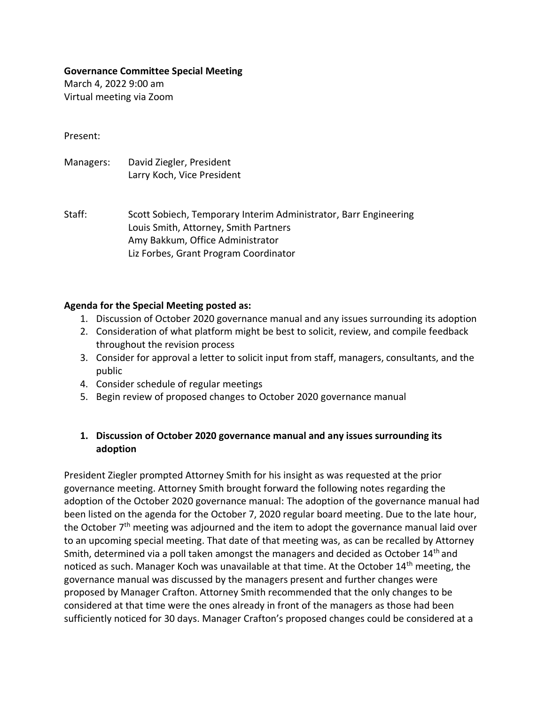#### **Governance Committee Special Meeting**

March 4, 2022 9:00 am Virtual meeting via Zoom

Present:

Managers: David Ziegler, President Larry Koch, Vice President

Staff: Scott Sobiech, Temporary Interim Administrator, Barr Engineering Louis Smith, Attorney, Smith Partners Amy Bakkum, Office Administrator Liz Forbes, Grant Program Coordinator

#### **Agenda for the Special Meeting posted as:**

- 1. Discussion of October 2020 governance manual and any issues surrounding its adoption
- 2. Consideration of what platform might be best to solicit, review, and compile feedback throughout the revision process
- 3. Consider for approval a letter to solicit input from staff, managers, consultants, and the public
- 4. Consider schedule of regular meetings
- 5. Begin review of proposed changes to October 2020 governance manual

### **1. Discussion of October 2020 governance manual and any issues surrounding its adoption**

President Ziegler prompted Attorney Smith for his insight as was requested at the prior governance meeting. Attorney Smith brought forward the following notes regarding the adoption of the October 2020 governance manual: The adoption of the governance manual had been listed on the agenda for the October 7, 2020 regular board meeting. Due to the late hour, the October  $7<sup>th</sup>$  meeting was adjourned and the item to adopt the governance manual laid over to an upcoming special meeting. That date of that meeting was, as can be recalled by Attorney Smith, determined via a poll taken amongst the managers and decided as October 14<sup>th</sup> and noticed as such. Manager Koch was unavailable at that time. At the October 14<sup>th</sup> meeting, the governance manual was discussed by the managers present and further changes were proposed by Manager Crafton. Attorney Smith recommended that the only changes to be considered at that time were the ones already in front of the managers as those had been sufficiently noticed for 30 days. Manager Crafton's proposed changes could be considered at a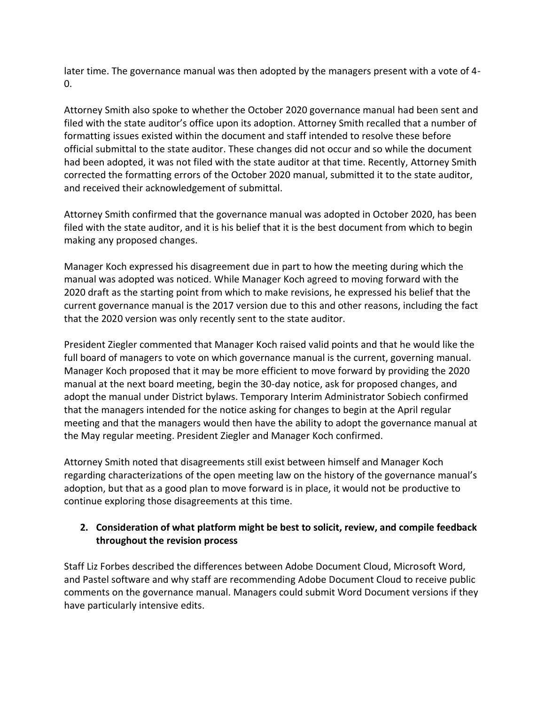later time. The governance manual was then adopted by the managers present with a vote of 4- 0.

Attorney Smith also spoke to whether the October 2020 governance manual had been sent and filed with the state auditor's office upon its adoption. Attorney Smith recalled that a number of formatting issues existed within the document and staff intended to resolve these before official submittal to the state auditor. These changes did not occur and so while the document had been adopted, it was not filed with the state auditor at that time. Recently, Attorney Smith corrected the formatting errors of the October 2020 manual, submitted it to the state auditor, and received their acknowledgement of submittal.

Attorney Smith confirmed that the governance manual was adopted in October 2020, has been filed with the state auditor, and it is his belief that it is the best document from which to begin making any proposed changes.

Manager Koch expressed his disagreement due in part to how the meeting during which the manual was adopted was noticed. While Manager Koch agreed to moving forward with the 2020 draft as the starting point from which to make revisions, he expressed his belief that the current governance manual is the 2017 version due to this and other reasons, including the fact that the 2020 version was only recently sent to the state auditor.

President Ziegler commented that Manager Koch raised valid points and that he would like the full board of managers to vote on which governance manual is the current, governing manual. Manager Koch proposed that it may be more efficient to move forward by providing the 2020 manual at the next board meeting, begin the 30-day notice, ask for proposed changes, and adopt the manual under District bylaws. Temporary Interim Administrator Sobiech confirmed that the managers intended for the notice asking for changes to begin at the April regular meeting and that the managers would then have the ability to adopt the governance manual at the May regular meeting. President Ziegler and Manager Koch confirmed.

Attorney Smith noted that disagreements still exist between himself and Manager Koch regarding characterizations of the open meeting law on the history of the governance manual's adoption, but that as a good plan to move forward is in place, it would not be productive to continue exploring those disagreements at this time.

# **2. Consideration of what platform might be best to solicit, review, and compile feedback throughout the revision process**

Staff Liz Forbes described the differences between Adobe Document Cloud, Microsoft Word, and Pastel software and why staff are recommending Adobe Document Cloud to receive public comments on the governance manual. Managers could submit Word Document versions if they have particularly intensive edits.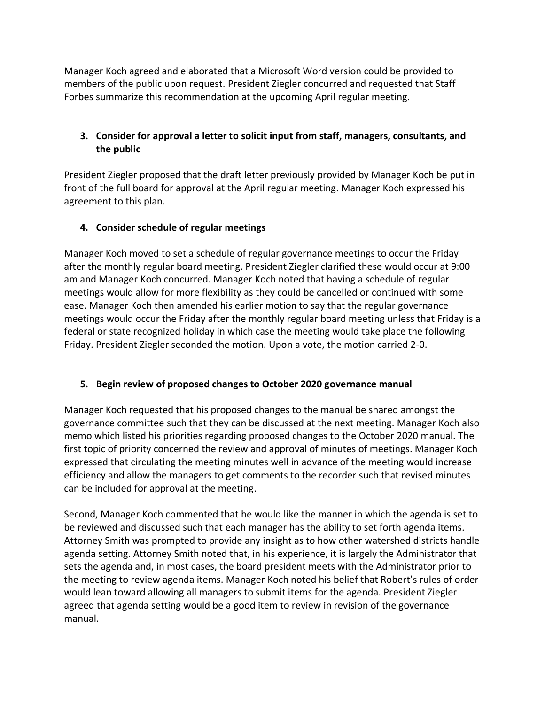Manager Koch agreed and elaborated that a Microsoft Word version could be provided to members of the public upon request. President Ziegler concurred and requested that Staff Forbes summarize this recommendation at the upcoming April regular meeting.

## **3. Consider for approval a letter to solicit input from staff, managers, consultants, and the public**

President Ziegler proposed that the draft letter previously provided by Manager Koch be put in front of the full board for approval at the April regular meeting. Manager Koch expressed his agreement to this plan.

# **4. Consider schedule of regular meetings**

Manager Koch moved to set a schedule of regular governance meetings to occur the Friday after the monthly regular board meeting. President Ziegler clarified these would occur at 9:00 am and Manager Koch concurred. Manager Koch noted that having a schedule of regular meetings would allow for more flexibility as they could be cancelled or continued with some ease. Manager Koch then amended his earlier motion to say that the regular governance meetings would occur the Friday after the monthly regular board meeting unless that Friday is a federal or state recognized holiday in which case the meeting would take place the following Friday. President Ziegler seconded the motion. Upon a vote, the motion carried 2-0.

### **5. Begin review of proposed changes to October 2020 governance manual**

Manager Koch requested that his proposed changes to the manual be shared amongst the governance committee such that they can be discussed at the next meeting. Manager Koch also memo which listed his priorities regarding proposed changes to the October 2020 manual. The first topic of priority concerned the review and approval of minutes of meetings. Manager Koch expressed that circulating the meeting minutes well in advance of the meeting would increase efficiency and allow the managers to get comments to the recorder such that revised minutes can be included for approval at the meeting.

Second, Manager Koch commented that he would like the manner in which the agenda is set to be reviewed and discussed such that each manager has the ability to set forth agenda items. Attorney Smith was prompted to provide any insight as to how other watershed districts handle agenda setting. Attorney Smith noted that, in his experience, it is largely the Administrator that sets the agenda and, in most cases, the board president meets with the Administrator prior to the meeting to review agenda items. Manager Koch noted his belief that Robert's rules of order would lean toward allowing all managers to submit items for the agenda. President Ziegler agreed that agenda setting would be a good item to review in revision of the governance manual.